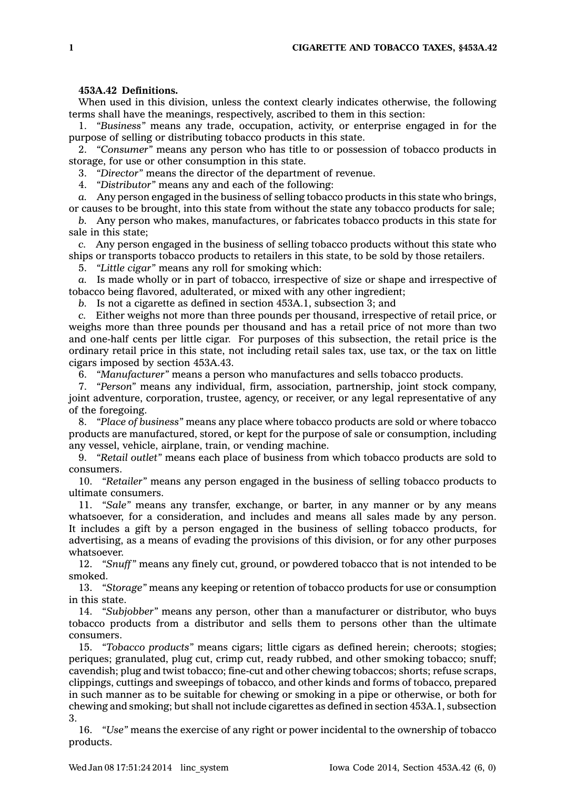## **453A.42 Definitions.**

When used in this division, unless the context clearly indicates otherwise, the following terms shall have the meanings, respectively, ascribed to them in this section:

1. *"Business"* means any trade, occupation, activity, or enterprise engaged in for the purpose of selling or distributing tobacco products in this state.

2. *"Consumer"* means any person who has title to or possession of tobacco products in storage, for use or other consumption in this state.

3. *"Director"* means the director of the department of revenue.

4. *"Distributor"* means any and each of the following:

*a.* Any person engaged in the business of selling tobacco products in this state who brings, or causes to be brought, into this state from without the state any tobacco products for sale;

*b.* Any person who makes, manufactures, or fabricates tobacco products in this state for sale in this state;

*c.* Any person engaged in the business of selling tobacco products without this state who ships or transports tobacco products to retailers in this state, to be sold by those retailers.

5. *"Little cigar"* means any roll for smoking which:

*a.* Is made wholly or in part of tobacco, irrespective of size or shape and irrespective of tobacco being flavored, adulterated, or mixed with any other ingredient;

*b.* Is not <sup>a</sup> cigarette as defined in section 453A.1, subsection 3; and

*c.* Either weighs not more than three pounds per thousand, irrespective of retail price, or weighs more than three pounds per thousand and has <sup>a</sup> retail price of not more than two and one-half cents per little cigar. For purposes of this subsection, the retail price is the ordinary retail price in this state, not including retail sales tax, use tax, or the tax on little cigars imposed by section 453A.43.

6. *"Manufacturer"* means <sup>a</sup> person who manufactures and sells tobacco products.

7. *"Person"* means any individual, firm, association, partnership, joint stock company, joint adventure, corporation, trustee, agency, or receiver, or any legal representative of any of the foregoing.

8. *"Place of business"* means any place where tobacco products are sold or where tobacco products are manufactured, stored, or kept for the purpose of sale or consumption, including any vessel, vehicle, airplane, train, or vending machine.

9. *"Retail outlet"* means each place of business from which tobacco products are sold to consumers.

10. *"Retailer"* means any person engaged in the business of selling tobacco products to ultimate consumers.

11. *"Sale"* means any transfer, exchange, or barter, in any manner or by any means whatsoever, for <sup>a</sup> consideration, and includes and means all sales made by any person. It includes <sup>a</sup> gift by <sup>a</sup> person engaged in the business of selling tobacco products, for advertising, as <sup>a</sup> means of evading the provisions of this division, or for any other purposes whatsoever.

12. *"Snuff"* means any finely cut, ground, or powdered tobacco that is not intended to be smoked.

13. *"Storage"* means any keeping or retention of tobacco products for use or consumption in this state.

14. *"Subjobber"* means any person, other than <sup>a</sup> manufacturer or distributor, who buys tobacco products from <sup>a</sup> distributor and sells them to persons other than the ultimate consumers.

15. *"Tobacco products"* means cigars; little cigars as defined herein; cheroots; stogies; periques; granulated, plug cut, crimp cut, ready rubbed, and other smoking tobacco; snuff; cavendish; plug and twist tobacco; fine-cut and other chewing tobaccos; shorts; refuse scraps, clippings, cuttings and sweepings of tobacco, and other kinds and forms of tobacco, prepared in such manner as to be suitable for chewing or smoking in <sup>a</sup> pipe or otherwise, or both for chewing and smoking; but shall not include cigarettes as defined in section 453A.1, subsection 3.

16. *"Use"* means the exercise of any right or power incidental to the ownership of tobacco products.